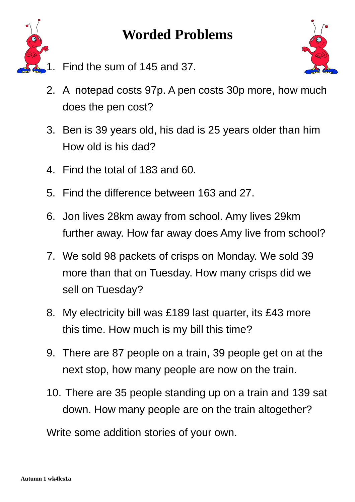

- 1. Find the sum of 145 and 37.
- 2. A notepad costs 97p. A pen costs 30p more, how much does the pen cost?
- 3. Ben is 39 years old, his dad is 25 years older than him How old is his dad?
- 4. Find the total of 183 and 60.
- 5. Find the difference between 163 and 27.
- 6. Jon lives 28km away from school. Amy lives 29km further away. How far away does Amy live from school?
- 7. We sold 98 packets of crisps on Monday. We sold 39 more than that on Tuesday. How many crisps did we sell on Tuesday?
- 8. My electricity bill was £189 last quarter, its £43 more this time. How much is my bill this time?
- 9. There are 87 people on a train, 39 people get on at the next stop, how many people are now on the train.
- 10. There are 35 people standing up on a train and 139 sat down. How many people are on the train altogether?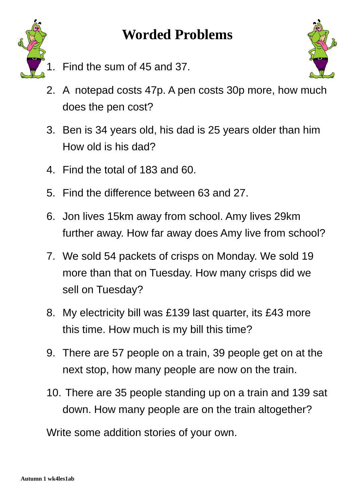



Find the sum of 45 and 37.



- 2. A notepad costs 47p. A pen costs 30p more, how much does the pen cost?
- 3. Ben is 34 years old, his dad is 25 years older than him How old is his dad?
- 4. Find the total of 183 and 60.
- 5. Find the difference between 63 and 27.
- 6. Jon lives 15km away from school. Amy lives 29km further away. How far away does Amy live from school?
- 7. We sold 54 packets of crisps on Monday. We sold 19 more than that on Tuesday. How many crisps did we sell on Tuesday?
- 8. My electricity bill was £139 last quarter, its £43 more this time. How much is my bill this time?
- 9. There are 57 people on a train, 39 people get on at the next stop, how many people are now on the train.
- 10. There are 35 people standing up on a train and 139 sat down. How many people are on the train altogether?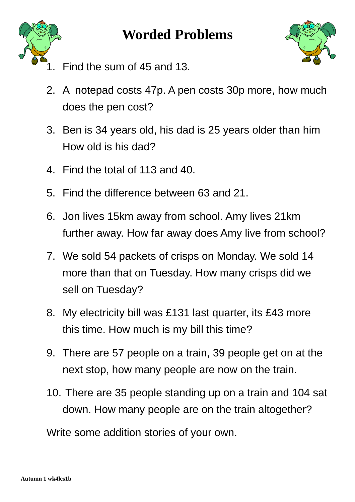



- Find the sum of 45 and 13.
- 2. A notepad costs 47p. A pen costs 30p more, how much does the pen cost?
- 3. Ben is 34 years old, his dad is 25 years older than him How old is his dad?
- 4. Find the total of 113 and 40.
- 5. Find the difference between 63 and 21.
- 6. Jon lives 15km away from school. Amy lives 21km further away. How far away does Amy live from school?
- 7. We sold 54 packets of crisps on Monday. We sold 14 more than that on Tuesday. How many crisps did we sell on Tuesday?
- 8. My electricity bill was £131 last quarter, its £43 more this time. How much is my bill this time?
- 9. There are 57 people on a train, 39 people get on at the next stop, how many people are now on the train.
- 10. There are 35 people standing up on a train and 104 sat down. How many people are on the train altogether?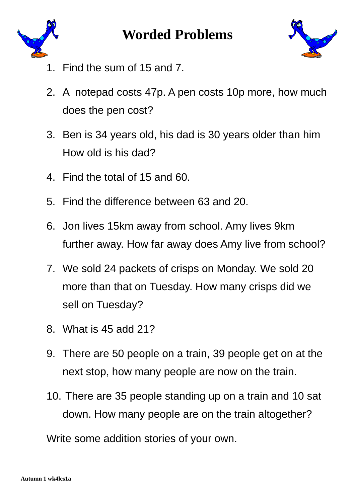



- 1. Find the sum of 15 and 7.
- 2. A notepad costs 47p. A pen costs 10p more, how much does the pen cost?
- 3. Ben is 34 years old, his dad is 30 years older than him How old is his dad?
- 4. Find the total of 15 and 60.
- 5. Find the difference between 63 and 20.
- 6. Jon lives 15km away from school. Amy lives 9km further away. How far away does Amy live from school?
- 7. We sold 24 packets of crisps on Monday. We sold 20 more than that on Tuesday. How many crisps did we sell on Tuesday?
- 8. What is 45 add 21?
- 9. There are 50 people on a train, 39 people get on at the next stop, how many people are now on the train.
- 10. There are 35 people standing up on a train and 10 sat down. How many people are on the train altogether?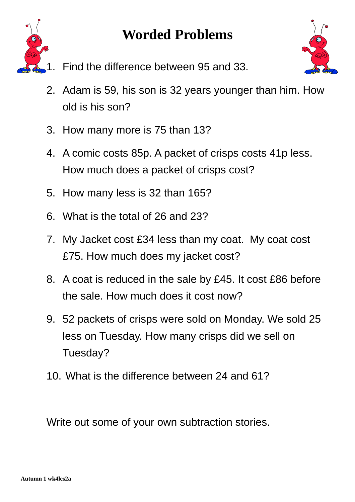



- 1. Find the difference between 95 and 33.
- 2. Adam is 59, his son is 32 years younger than him. How old is his son?
- 3. How many more is 75 than 13?
- 4. A comic costs 85p. A packet of crisps costs 41p less. How much does a packet of crisps cost?
- 5. How many less is 32 than 165?
- 6. What is the total of 26 and 23?
- 7. My Jacket cost £34 less than my coat. My coat cost £75. How much does my jacket cost?
- 8. A coat is reduced in the sale by £45. It cost £86 before the sale. How much does it cost now?
- 9. 52 packets of crisps were sold on Monday. We sold 25 less on Tuesday. How many crisps did we sell on Tuesday?
- 10. What is the difference between 24 and 61?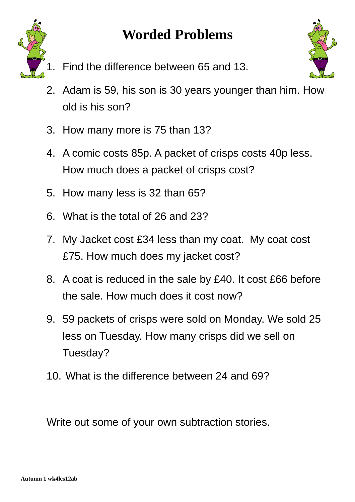



- Find the difference between 65 and 13.
- 2. Adam is 59, his son is 30 years younger than him. How old is his son?
- 3. How many more is 75 than 13?
- 4. A comic costs 85p. A packet of crisps costs 40p less. How much does a packet of crisps cost?
- 5. How many less is 32 than 65?
- 6. What is the total of 26 and 23?
- 7. My Jacket cost £34 less than my coat. My coat cost £75. How much does my jacket cost?
- 8. A coat is reduced in the sale by £40. It cost £66 before the sale. How much does it cost now?
- 9. 59 packets of crisps were sold on Monday. We sold 25 less on Tuesday. How many crisps did we sell on Tuesday?
- 10. What is the difference between 24 and 69?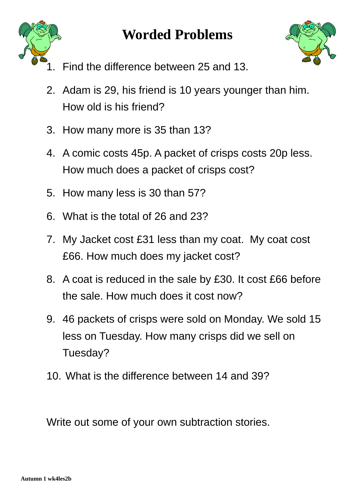



- 1. Find the difference between 25 and 13.
- 2. Adam is 29, his friend is 10 years younger than him. How old is his friend?
- 3. How many more is 35 than 13?
- 4. A comic costs 45p. A packet of crisps costs 20p less. How much does a packet of crisps cost?
- 5. How many less is 30 than 57?
- 6. What is the total of 26 and 23?
- 7. My Jacket cost £31 less than my coat. My coat cost £66. How much does my jacket cost?
- 8. A coat is reduced in the sale by £30. It cost £66 before the sale. How much does it cost now?
- 9. 46 packets of crisps were sold on Monday. We sold 15 less on Tuesday. How many crisps did we sell on Tuesday?
- 10. What is the difference between 14 and 39?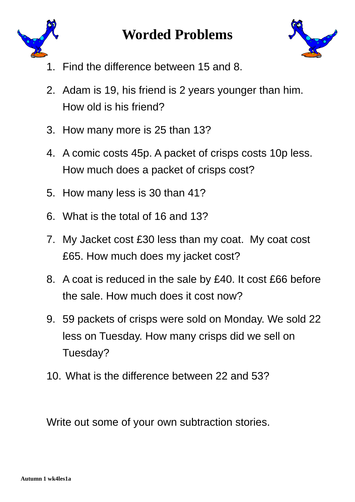



- 1. Find the difference between 15 and 8.
- 2. Adam is 19, his friend is 2 years younger than him. How old is his friend?
- 3. How many more is 25 than 13?
- 4. A comic costs 45p. A packet of crisps costs 10p less. How much does a packet of crisps cost?
- 5. How many less is 30 than 41?
- 6. What is the total of 16 and 13?
- 7. My Jacket cost £30 less than my coat. My coat cost £65. How much does my jacket cost?
- 8. A coat is reduced in the sale by £40. It cost £66 before the sale. How much does it cost now?
- 9. 59 packets of crisps were sold on Monday. We sold 22 less on Tuesday. How many crisps did we sell on Tuesday?
- 10. What is the difference between 22 and 53?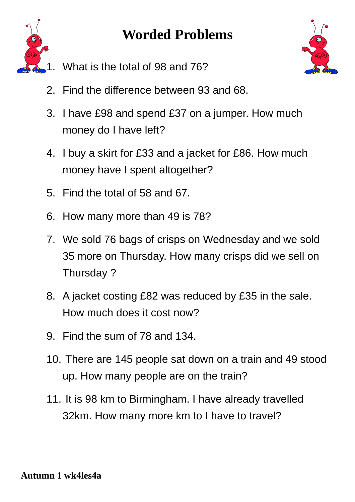



- What is the total of 98 and 76?
- 2. Find the difference between 93 and 68.
- 3. I have £98 and spend £37 on a jumper. How much money do I have left?
- 4. I buy a skirt for £33 and a jacket for £86. How much money have I spent altogether?
- 5. Find the total of  $58$  and  $67$ .
- 6. How many more than 49 is 78?
- 7. We sold 76 bags of crisps on Wednesday and we sold 35 more on Thursday. How many crisps did we sell on Thursday ?
- 8. A jacket costing £82 was reduced by £35 in the sale. How much does it cost now?
- 9. Find the sum of 78 and 134.
- 10. There are 145 people sat down on a train and 49 stood up. How many people are on the train?
- 11. It is 98 km to Birmingham. I have already travelled 32km. How many more km to I have to travel?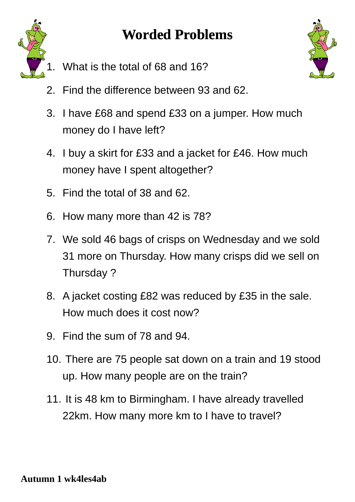

- What is the total of 68 and 16?
- 2. Find the difference between 93 and 62.
- 3. I have £68 and spend £33 on a jumper. How much money do I have left?
- 4. I buy a skirt for £33 and a jacket for £46. How much money have I spent altogether?
- 5. Find the total of  $38$  and  $62$ .
- 6. How many more than 42 is 78?
- 7. We sold 46 bags of crisps on Wednesday and we sold 31 more on Thursday. How many crisps did we sell on Thursday ?
- 8. A jacket costing £82 was reduced by £35 in the sale. How much does it cost now?
- 9. Find the sum of 78 and 94.
- 10. There are 75 people sat down on a train and 19 stood up. How many people are on the train?
- 11. It is 48 km to Birmingham. I have already travelled 22km. How many more km to I have to travel?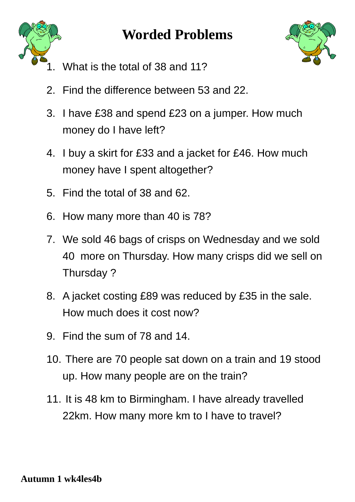



- What is the total of 38 and 11?
- 2. Find the difference between 53 and 22.
- 3. I have £38 and spend £23 on a jumper. How much money do I have left?
- 4. I buy a skirt for £33 and a jacket for £46. How much money have I spent altogether?
- 5. Find the total of  $38$  and  $62$ .
- 6. How many more than 40 is 78?
- 7. We sold 46 bags of crisps on Wednesday and we sold 40 more on Thursday. How many crisps did we sell on Thursday ?
- 8. A jacket costing £89 was reduced by £35 in the sale. How much does it cost now?
- 9. Find the sum of 78 and 14.
- 10. There are 70 people sat down on a train and 19 stood up. How many people are on the train?
- 11. It is 48 km to Birmingham. I have already travelled 22km. How many more km to I have to travel?